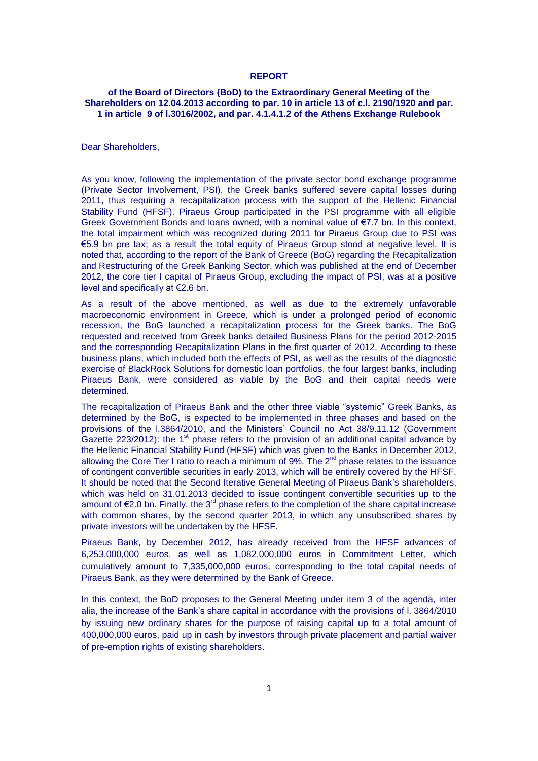#### **REPORT**

# **of the Board of Directors (BoD) to the Extraordinary General Meeting of the Shareholders on 12.04.2013 according to par. 10 in article 13 of c.l. 2190/1920 and par. 1 in article 9 of l.3016/2002, and par. 4.1.4.1.2 of the Athens Exchange Rulebook**

Dear Shareholders,

As you know, following the implementation of the private sector bond exchange programme (Private Sector Involvement, PSI), the Greek banks suffered severe capital losses during 2011, thus requiring a recapitalization process with the support of the Hellenic Financial Stability Fund (HFSF). Piraeus Group participated in the PSI programme with all eligible Greek Government Bonds and loans owned, with a nominal value of €7.7 bn. In this context, the total impairment which was recognized during 2011 for Piraeus Group due to PSI was €5.9 bn pre tax; as a result the total equity of Piraeus Group stood at negative level. It is noted that, according to the report of the Bank of Greece (BoG) regarding the Recapitalization and Restructuring of the Greek Banking Sector, which was published at the end of December 2012, the core tier I capital of Piraeus Group, excluding the impact of PSI, was at a positive level and specifically at €2.6 bn.

As a result of the above mentioned, as well as due to the extremely unfavorable macroeconomic environment in Greece, which is under a prolonged period of economic recession, the BoG launched a recapitalization process for the Greek banks. The BoG requested and received from Greek banks detailed Business Plans for the period 2012-2015 and the corresponding Recapitalization Plans in the first quarter of 2012. According to these business plans, which included both the effects of PSI, as well as the results of the diagnostic exercise of BlackRock Solutions for domestic loan portfolios, the four largest banks, including Piraeus Bank, were considered as viable by the BoG and their capital needs were determined.

The recapitalization of Piraeus Bank and the other three viable "systemic" Greek Banks, as determined by the BoG, is expected to be implemented in three phases and based on the provisions of the l.3864/2010, and the Ministers' Council no Act 38/9.11.12 (Government Gazette 223/2012): the  $1<sup>st</sup>$  phase refers to the provision of an additional capital advance by the Hellenic Financial Stability Fund (HFSF) which was given to the Banks in December 2012, allowing the Core Tier I ratio to reach a minimum of 9%. The  $2^{nd}$  phase relates to the issuance of contingent convertible securities in early 2013, which will be entirely covered by the HFSF. It should be noted that the Second Iterative General Meeting of Piraeus Bank's shareholders, which was held on 31.01.2013 decided to issue contingent convertible securities up to the amount of  $\epsilon$ 2.0 bn. Finally, the 3<sup>rd</sup> phase refers to the completion of the share capital increase with common shares, by the second quarter 2013, in which any unsubscribed shares by private investors will be undertaken by the HFSF.

Piraeus Bank, by December 2012, has already received from the HFSF advances of 6,253,000,000 euros, as well as 1,082,000,000 euros in Commitment Letter, which cumulatively amount to 7,335,000,000 euros, corresponding to the total capital needs of Piraeus Bank, as they were determined by the Bank of Greece.

In this context, the BoD proposes to the General Meeting under item 3 of the agenda, inter alia, the increase of the Bank's share capital in accordance with the provisions of l. 3864/2010 by issuing new ordinary shares for the purpose of raising capital up to a total amount of 400,000,000 euros, paid up in cash by investors through private placement and partial waiver of pre-emption rights of existing shareholders.